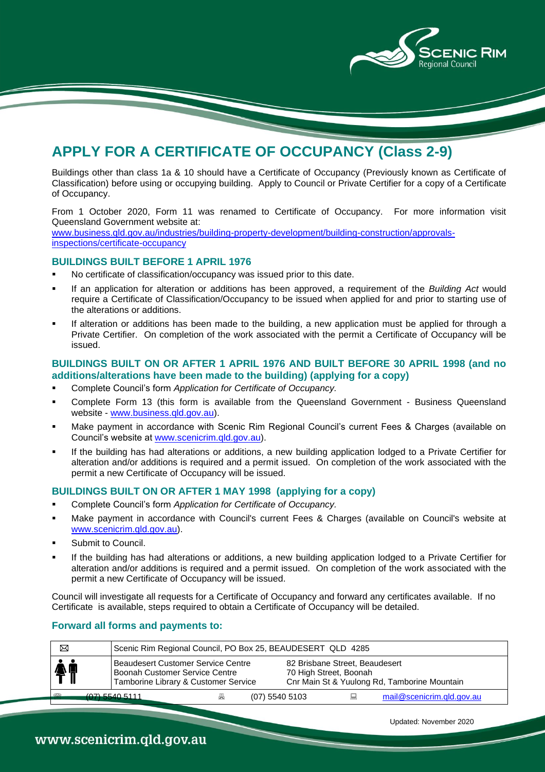

## **APPLY FOR A CERTIFICATE OF OCCUPANCY (Class 2-9)**

Buildings other than class 1a & 10 should have a Certificate of Occupancy (Previously known as Certificate of Classification) before using or occupying building. Apply to Council or Private Certifier for a copy of a Certificate of Occupancy.

From 1 October 2020, Form 11 was renamed to Certificate of Occupancy. For more information visit Queensland Government website at: [www.business.qld.gov.au/industries/building-property-development/building-construction/approvals-](http://www.business.qld.gov.au/industries/building-property-development/building-construction/approvals-inspections/certificate-occupancy)

[inspections/certificate-occupancy](http://www.business.qld.gov.au/industries/building-property-development/building-construction/approvals-inspections/certificate-occupancy)

#### **BUILDINGS BUILT BEFORE 1 APRIL 1976**

- No certificate of classification/occupancy was issued prior to this date.
- If an application for alteration or additions has been approved, a requirement of the *Building Act* would require a Certificate of Classification/Occupancy to be issued when applied for and prior to starting use of the alterations or additions.
- If alteration or additions has been made to the building, a new application must be applied for through a Private Certifier. On completion of the work associated with the permit a Certificate of Occupancy will be issued.

#### **BUILDINGS BUILT ON OR AFTER 1 APRIL 1976 AND BUILT BEFORE 30 APRIL 1998 (and no additions/alterations have been made to the building) (applying for a copy)**

- Complete Council's form *Application for Certificate of Occupancy.*
- Complete Form 13 (this form is available from the Queensland Government Business Queensland website - [www.business.qld.gov.au\)](http://www.business.qld.gov.au/).
- Make payment in accordance with Scenic Rim Regional Council's current Fees & Charges (available on Council's website at [www.scenicrim.qld.gov.au\)](http://www.scenicrim.qld.gov.au/).
- If the building has had alterations or additions, a new building application lodged to a Private Certifier for alteration and/or additions is required and a permit issued. On completion of the work associated with the permit a new Certificate of Occupancy will be issued.

### **BUILDINGS BUILT ON OR AFTER 1 MAY 1998 (applying for a copy)**

- Complete Council's form *Application for Certificate of Occupancy.*
- Make payment in accordance with Council's current Fees & Charges (available on Council's website at [www.scenicrim.qld.gov.au\)](http://www.scenicrim.qld.gov.au/).
- Submit to Council.
- If the building has had alterations or additions, a new building application lodged to a Private Certifier for alteration and/or additions is required and a permit issued. On completion of the work associated with the permit a new Certificate of Occupancy will be issued.

Council will investigate all requests for a Certificate of Occupancy and forward any certificates available. If no Certificate is available, steps required to obtain a Certificate of Occupancy will be detailed.

### **Forward all forms and payments to:**

| ⊠   | Scenic Rim Regional Council, PO Box 25, BEAUDESERT QLD 4285                                                  |   |                  |  |                                                          |                                              |  |
|-----|--------------------------------------------------------------------------------------------------------------|---|------------------|--|----------------------------------------------------------|----------------------------------------------|--|
| 个   | Beaudesert Customer Service Centre<br>Boonah Customer Service Centre<br>Tamborine Library & Customer Service |   |                  |  | 82 Brisbane Street, Beaudesert<br>70 High Street, Boonah | Cnr Main St & Yuulong Rd, Tamborine Mountain |  |
| 622 | $(07)$ 5540 5111                                                                                             | 昌 | $(07)$ 5540 5103 |  |                                                          | mail@scenicrim.gld.gov.au                    |  |

Updated: November 2020